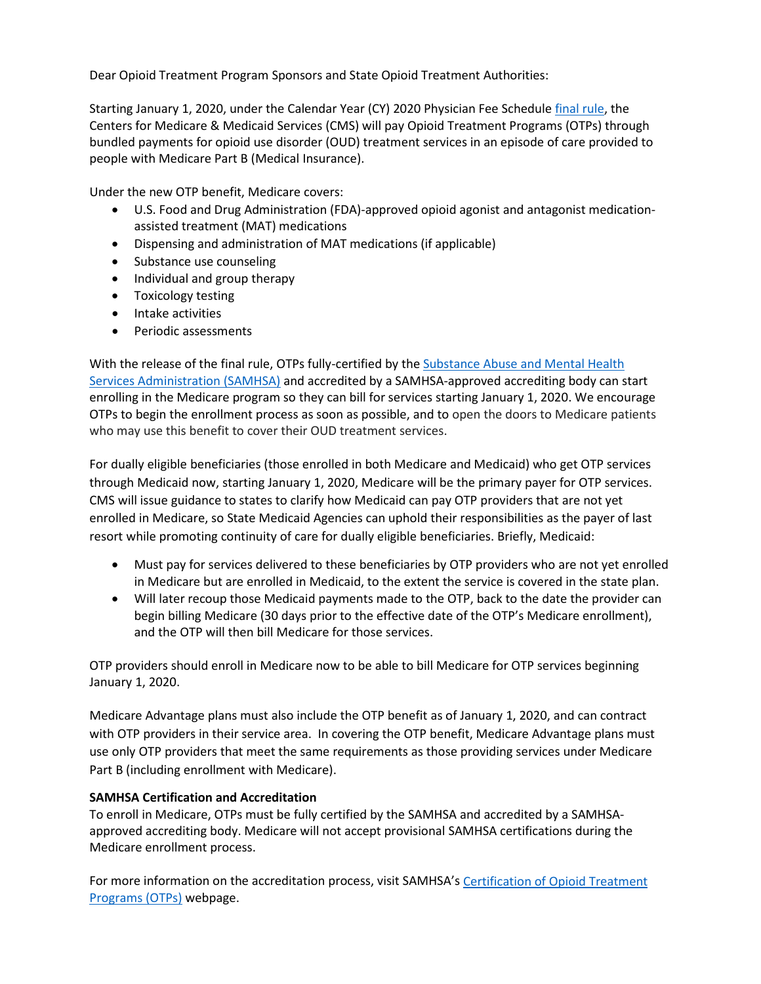Dear Opioid Treatment Program Sponsors and State Opioid Treatment Authorities:

Starting January 1, 2020, under the Calendar Year (CY) 2020 Physician Fee Schedule *final rule*, the Centers for Medicare & Medicaid Services (CMS) will pay Opioid Treatment Programs (OTPs) through bundled payments for opioid use disorder (OUD) treatment services in an episode of care provided to people with Medicare Part B (Medical Insurance).

Under the new OTP benefit, Medicare covers:

- U.S. Food and Drug Administration (FDA)-approved opioid agonist and antagonist medicationassisted treatment (MAT) medications
- Dispensing and administration of MAT medications (if applicable)
- Substance use counseling
- Individual and group therapy
- Toxicology testing
- Intake activities
- Periodic assessments

With the release of the final rule, OTPs fully-certified by the [Substance Abuse and Mental Health](https://dpt2.samhsa.gov/treatment/directory.aspx)  [Services Administration \(SAMHSA\)](https://dpt2.samhsa.gov/treatment/directory.aspx) and accredited by a SAMHSA-approved accrediting body can start enrolling in the Medicare program so they can bill for services starting January 1, 2020. We encourage OTPs to begin the enrollment process as soon as possible, and to open the doors to Medicare patients who may use this benefit to cover their OUD treatment services.

For dually eligible beneficiaries (those enrolled in both Medicare and Medicaid) who get OTP services through Medicaid now, starting January 1, 2020, Medicare will be the primary payer for OTP services. CMS will issue guidance to states to clarify how Medicaid can pay OTP providers that are not yet enrolled in Medicare, so State Medicaid Agencies can uphold their responsibilities as the payer of last resort while promoting continuity of care for dually eligible beneficiaries. Briefly, Medicaid:

- Must pay for services delivered to these beneficiaries by OTP providers who are not yet enrolled in Medicare but are enrolled in Medicaid, to the extent the service is covered in the state plan.
- Will later recoup those Medicaid payments made to the OTP, back to the date the provider can begin billing Medicare (30 days prior to the effective date of the OTP's Medicare enrollment), and the OTP will then bill Medicare for those services.

OTP providers should enroll in Medicare now to be able to bill Medicare for OTP services beginning January 1, 2020.

Medicare Advantage plans must also include the OTP benefit as of January 1, 2020, and can contract with OTP providers in their service area. In covering the OTP benefit, Medicare Advantage plans must use only OTP providers that meet the same requirements as those providing services under Medicare Part B (including enrollment with Medicare).

# **SAMHSA Certification and Accreditation**

To enroll in Medicare, OTPs must be fully certified by the SAMHSA and accredited by a SAMHSAapproved accrediting body. Medicare will not accept provisional SAMHSA certifications during the Medicare enrollment process.

For more information on the accreditation process, visit SAMHSA'[s Certification of Opioid Treatment](https://www.samhsa.gov/medication-assisted-treatment/opioid-treatment-programs)  [Programs \(OTPs\)](https://www.samhsa.gov/medication-assisted-treatment/opioid-treatment-programs) webpage.